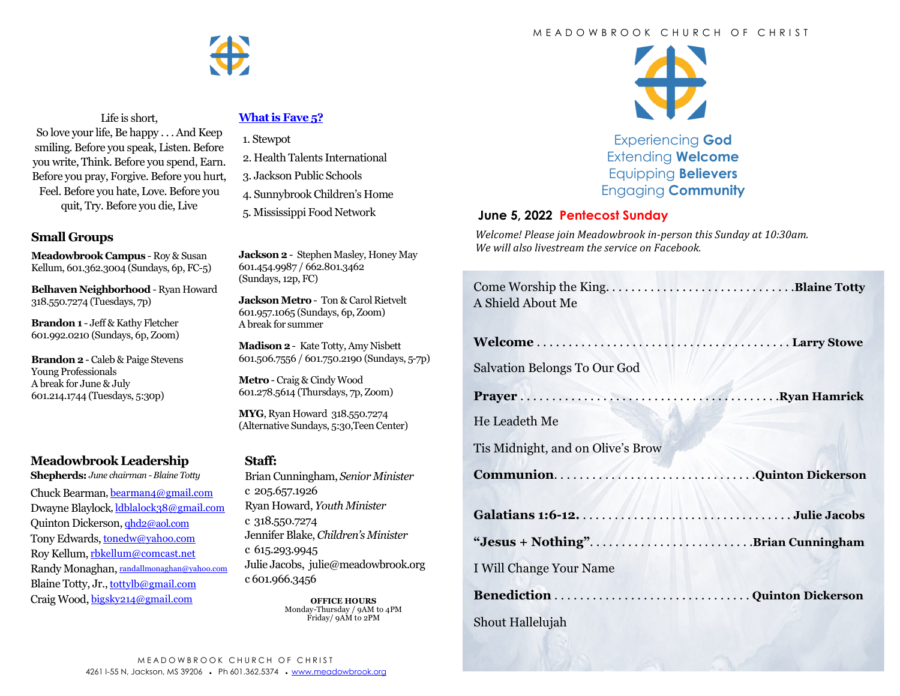#### M E A D O W B R O O K C H U R C H O F C H R I S T



Life is short, So love your life, Be happy . . . And Keep smiling. Before you speak, Listen. Before you write, Think. Before you spend, Earn. Before you pray, Forgive. Before you hurt, Feel. Before you hate, Love. Before you quit, Try. Before you die, Live

### **Small Groups**

**Meadowbrook Campus** - Roy & Susan Kellum, 601.362.3004 (Sundays, 6p, FC-5)

**Belhaven Neighborhood** - Ryan Howard 318.550.7274 (Tuesdays, 7p)

**Brandon 1** - Jeff & Kathy Fletcher 601.992.0210 (Sundays, 6p, Zoom)

**Brandon 2** - Caleb & Paige Stevens Young Professionals A break for June & July 601.214.1744 (Tuesdays, 5:30p)

## **Meadowbrook Leadership**

**Shepherds:** *June chairman -Blaine Totty* Chuck Bearman, [bearman4@gmail.com](mailto:bearman4@gmail.com) Dwayne Blaylock, [ldblalock38@gmail.com](mailto:ldblaylock38@gmail.com) Quinton Dickerson, [qhd2@aol.com](mailto:qhd2@aol.com) Tony Edwards, [tonedw@yahoo.com](mailto:tonedw@yahoo.com) Roy Kellum, [rbkellum@comcast.net](mailto:rbkellum@comcast.net) Randy Monaghan, [randallmonaghan@yahoo.com](mailto:randallmonaghan@yahoo.com) Blaine Totty, Jr., [tottylb@gmail.com](mailto:tottylb@gmail.com) Craig Wood, [bigsky214@gmail.com](mailto:bigsky214@gmail.com)

## **[What is Fave 5?](https://meadowbrook.ccbchurch.com/group_detail.php?group_id=131)**

- 1. Stewpot
- 2. Health Talents International
- 3. Jackson Public Schools
- 4. Sunnybrook Children's Home
- 5. Mississippi Food Network

**Jackson 2** - Stephen Masley, Honey May 601.454.9987 / 662.801.3462 (Sundays, 12p, FC)

**Jackson Metro** - Ton & Carol Rietvelt 601.957.1065 (Sundays, 6p, Zoom) A break for summer

**Madison 2**- Kate Totty, Amy Nisbett 601.506.7556 / 601.750.2190 (Sundays, 5-7p)

**Metro** - Craig & Cindy Wood 601.278.5614 (Thursdays, 7p, Zoom)

**MYG**, Ryan Howard 318.550.7274 (Alternative Sundays, 5:30,Teen Center)

#### **Staff:**

Brian Cunningham, *Senior Minister*  c 205.657.1926 Ryan Howard, *Youth Minister*  c 318.550.7274 Jennifer Blake, *Children's Minister*  c 615.293.9945 Julie Jacobs, julie@meadowbrook.org c 601.966.3456

> **OFFICE HOURS** Monday-Thursday / 9AM to 4PM Friday/ 9AM to 2PM



Experiencing **God** Extending **Welcome** Equipping **Believers** Engaging **Community**

#### **June 5, 2022 Pentecost Sunday**

*Welcome! Please join Meadowbrook in-person this Sunday at 10:30am. We will also livestream the service on Facebook.*

| A Shield About Me                 |  |
|-----------------------------------|--|
|                                   |  |
| Salvation Belongs To Our God      |  |
|                                   |  |
| He Leadeth Me                     |  |
| Tis Midnight, and on Olive's Brow |  |
| CommunionQuinton Dickerson        |  |
|                                   |  |
| "Jesus + Nothing"Brian Cunningham |  |
| I Will Change Your Name           |  |
|                                   |  |
|                                   |  |